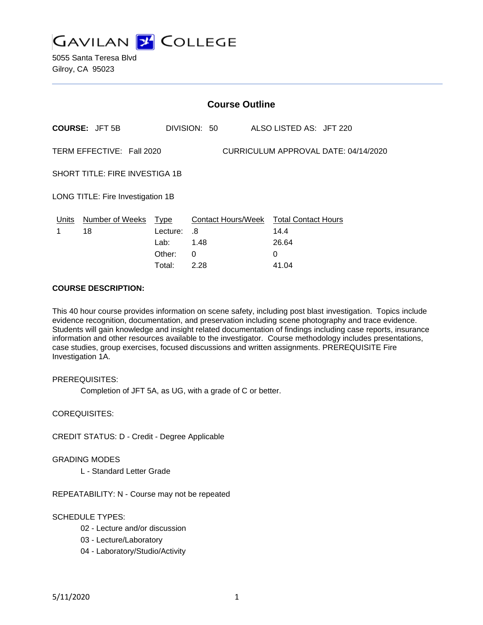

| <b>Course Outline</b>                                             |                            |          |              |                                        |  |
|-------------------------------------------------------------------|----------------------------|----------|--------------|----------------------------------------|--|
|                                                                   | <b>COURSE: JFT 5B</b>      |          | DIVISION: 50 | ALSO LISTED AS: JFT 220                |  |
| CURRICULUM APPROVAL DATE: 04/14/2020<br>TERM EFFECTIVE: Fall 2020 |                            |          |              |                                        |  |
| SHORT TITLE: FIRE INVESTIGA 1B                                    |                            |          |              |                                        |  |
| LONG TITLE: Fire Investigation 1B                                 |                            |          |              |                                        |  |
|                                                                   | Units Number of Weeks Type |          |              | Contact Hours/Week Total Contact Hours |  |
| 1                                                                 | 18                         | Lecture: | .8           | 14.4                                   |  |
|                                                                   |                            | Lab:     | 1.48         | 26.64                                  |  |
|                                                                   |                            | Other:   | 0            | 0                                      |  |
|                                                                   |                            | Total:   | 2.28         | 41.04                                  |  |

### **COURSE DESCRIPTION:**

This 40 hour course provides information on scene safety, including post blast investigation. Topics include evidence recognition, documentation, and preservation including scene photography and trace evidence. Students will gain knowledge and insight related documentation of findings including case reports, insurance information and other resources available to the investigator. Course methodology includes presentations, case studies, group exercises, focused discussions and written assignments. PREREQUISITE Fire Investigation 1A.

PREREQUISITES:

Completion of JFT 5A, as UG, with a grade of C or better.

COREQUISITES:

CREDIT STATUS: D - Credit - Degree Applicable

#### GRADING MODES

L - Standard Letter Grade

REPEATABILITY: N - Course may not be repeated

# SCHEDULE TYPES:

- 02 Lecture and/or discussion
- 03 Lecture/Laboratory
- 04 Laboratory/Studio/Activity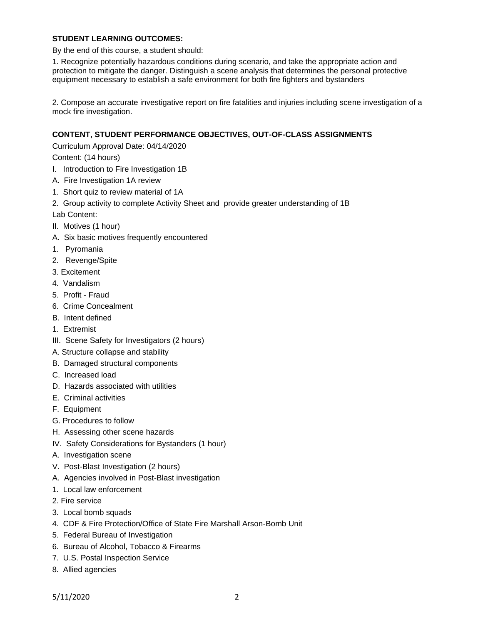# **STUDENT LEARNING OUTCOMES:**

By the end of this course, a student should:

1. Recognize potentially hazardous conditions during scenario, and take the appropriate action and protection to mitigate the danger. Distinguish a scene analysis that determines the personal protective equipment necessary to establish a safe environment for both fire fighters and bystanders

2. Compose an accurate investigative report on fire fatalities and injuries including scene investigation of a mock fire investigation.

# **CONTENT, STUDENT PERFORMANCE OBJECTIVES, OUT-OF-CLASS ASSIGNMENTS**

Curriculum Approval Date: 04/14/2020

Content: (14 hours)

- I. Introduction to Fire Investigation 1B
- A. Fire Investigation 1A review
- 1. Short quiz to review material of 1A
- 2. Group activity to complete Activity Sheet and provide greater understanding of 1B

Lab Content:

- II. Motives (1 hour)
- A. Six basic motives frequently encountered
- 1. Pyromania
- 2. Revenge/Spite
- 3. Excitement
- 4. Vandalism
- 5. Profit Fraud
- 6. Crime Concealment
- B. Intent defined
- 1. Extremist
- III. Scene Safety for Investigators (2 hours)
- A. Structure collapse and stability
- B. Damaged structural components
- C. Increased load
- D. Hazards associated with utilities
- E. Criminal activities
- F. Equipment
- G. Procedures to follow
- H. Assessing other scene hazards
- IV. Safety Considerations for Bystanders (1 hour)
- A. Investigation scene
- V. Post-Blast Investigation (2 hours)
- A. Agencies involved in Post-Blast investigation
- 1. Local law enforcement
- 2. Fire service
- 3. Local bomb squads
- 4. CDF & Fire Protection/Office of State Fire Marshall Arson-Bomb Unit
- 5. Federal Bureau of Investigation
- 6. Bureau of Alcohol, Tobacco & Firearms
- 7. U.S. Postal Inspection Service
- 8. Allied agencies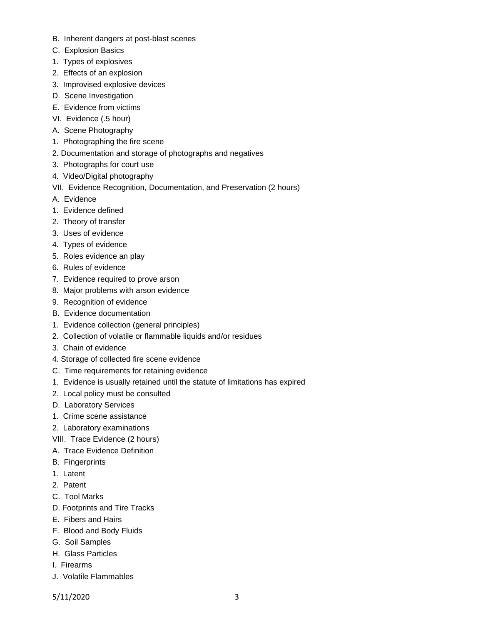- B. Inherent dangers at post-blast scenes
- C. Explosion Basics
- 1. Types of explosives
- 2. Effects of an explosion
- 3. Improvised explosive devices
- D. Scene Investigation
- E. Evidence from victims
- VI. Evidence (.5 hour)
- A. Scene Photography
- 1. Photographing the fire scene
- 2. Documentation and storage of photographs and negatives
- 3. Photographs for court use
- 4. Video/Digital photography
- VII. Evidence Recognition, Documentation, and Preservation (2 hours)
- A. Evidence
- 1. Evidence defined
- 2. Theory of transfer
- 3. Uses of evidence
- 4. Types of evidence
- 5. Roles evidence an play
- 6. Rules of evidence
- 7. Evidence required to prove arson
- 8. Major problems with arson evidence
- 9. Recognition of evidence
- B. Evidence documentation
- 1. Evidence collection (general principles)
- 2. Collection of volatile or flammable liquids and/or residues
- 3. Chain of evidence
- 4. Storage of collected fire scene evidence
- C. Time requirements for retaining evidence
- 1. Evidence is usually retained until the statute of limitations has expired
- 2. Local policy must be consulted
- D. Laboratory Services
- 1. Crime scene assistance
- 2. Laboratory examinations
- VIII. Trace Evidence (2 hours)
- A. Trace Evidence Definition
- B. Fingerprints
- 1. Latent
- 2. Patent
- C. Tool Marks
- D. Footprints and Tire Tracks
- E. Fibers and Hairs
- F. Blood and Body Fluids
- G. Soil Samples
- H. Glass Particles
- I. Firearms
- J. Volatile Flammables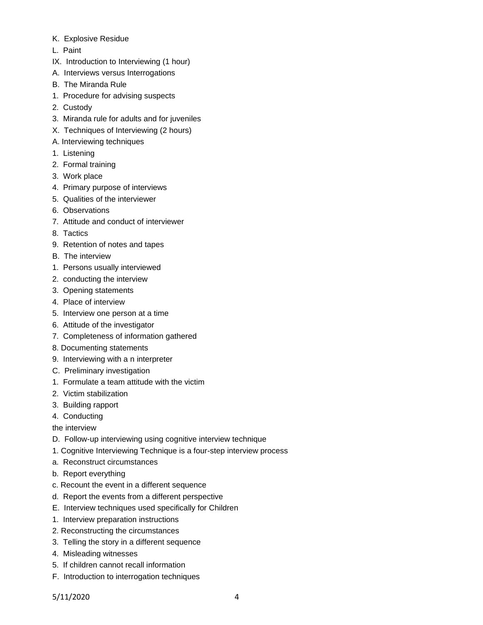- K. Explosive Residue
- L. Paint
- IX. Introduction to Interviewing (1 hour)
- A. Interviews versus Interrogations
- B. The Miranda Rule
- 1. Procedure for advising suspects
- 2. Custody
- 3. Miranda rule for adults and for juveniles
- X. Techniques of Interviewing (2 hours)
- A. Interviewing techniques
- 1. Listening
- 2. Formal training
- 3. Work place
- 4. Primary purpose of interviews
- 5. Qualities of the interviewer
- 6. Observations
- 7. Attitude and conduct of interviewer
- 8. Tactics
- 9. Retention of notes and tapes
- B. The interview
- 1. Persons usually interviewed
- 2. conducting the interview
- 3. Opening statements
- 4. Place of interview
- 5. Interview one person at a time
- 6. Attitude of the investigator
- 7. Completeness of information gathered
- 8. Documenting statements
- 9. Interviewing with a n interpreter
- C. Preliminary investigation
- 1. Formulate a team attitude with the victim
- 2. Victim stabilization
- 3. Building rapport
- 4. Conducting
- the interview
- D. Follow-up interviewing using cognitive interview technique
- 1. Cognitive Interviewing Technique is a four-step interview process
- a. Reconstruct circumstances
- b. Report everything
- c. Recount the event in a different sequence
- d. Report the events from a different perspective
- E. Interview techniques used specifically for Children
- 1. Interview preparation instructions
- 2. Reconstructing the circumstances
- 3. Telling the story in a different sequence
- 4. Misleading witnesses
- 5. If children cannot recall information
- F. Introduction to interrogation techniques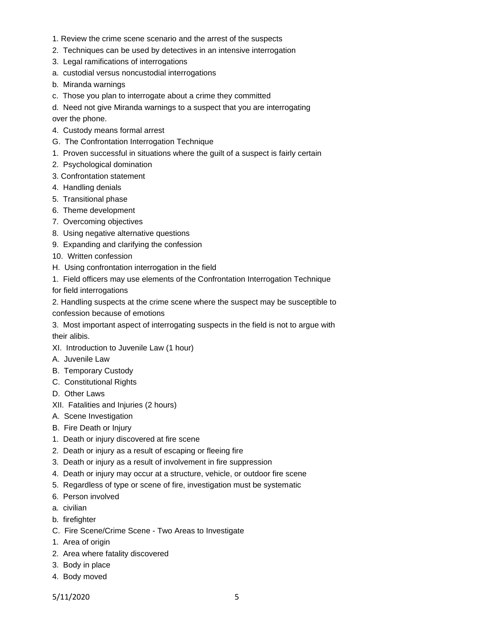- 1. Review the crime scene scenario and the arrest of the suspects
- 2. Techniques can be used by detectives in an intensive interrogation
- 3. Legal ramifications of interrogations
- a. custodial versus noncustodial interrogations
- b. Miranda warnings
- c. Those you plan to interrogate about a crime they committed
- d. Need not give Miranda warnings to a suspect that you are interrogating

over the phone.

- 4. Custody means formal arrest
- G. The Confrontation Interrogation Technique
- 1. Proven successful in situations where the guilt of a suspect is fairly certain
- 2. Psychological domination
- 3. Confrontation statement
- 4. Handling denials
- 5. Transitional phase
- 6. Theme development
- 7. Overcoming objectives
- 8. Using negative alternative questions
- 9. Expanding and clarifying the confession
- 10. Written confession
- H. Using confrontation interrogation in the field
- 1. Field officers may use elements of the Confrontation Interrogation Technique

for field interrogations

2. Handling suspects at the crime scene where the suspect may be susceptible to confession because of emotions

3. Most important aspect of interrogating suspects in the field is not to argue with their alibis.

- XI. Introduction to Juvenile Law (1 hour)
- A. Juvenile Law
- B. Temporary Custody
- C. Constitutional Rights
- D. Other Laws
- XII. Fatalities and Injuries (2 hours)
- A. Scene Investigation
- B. Fire Death or Injury
- 1. Death or injury discovered at fire scene
- 2. Death or injury as a result of escaping or fleeing fire
- 3. Death or injury as a result of involvement in fire suppression
- 4. Death or injury may occur at a structure, vehicle, or outdoor fire scene
- 5. Regardless of type or scene of fire, investigation must be systematic
- 6. Person involved
- a. civilian
- b. firefighter
- C. Fire Scene/Crime Scene Two Areas to Investigate
- 1. Area of origin
- 2. Area where fatality discovered
- 3. Body in place
- 4. Body moved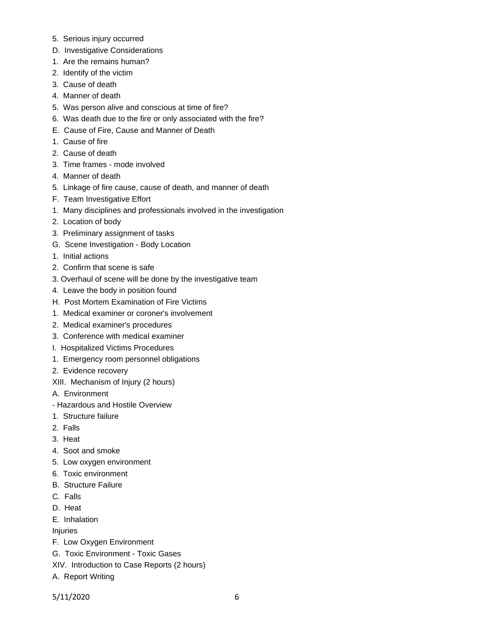- 5. Serious injury occurred
- D. Investigative Considerations
- 1. Are the remains human?
- 2. Identify of the victim
- 3. Cause of death
- 4. Manner of death
- 5. Was person alive and conscious at time of fire?
- 6. Was death due to the fire or only associated with the fire?
- E. Cause of Fire, Cause and Manner of Death
- 1. Cause of fire
- 2. Cause of death
- 3. Time frames mode involved
- 4. Manner of death
- 5. Linkage of fire cause, cause of death, and manner of death
- F. Team Investigative Effort
- 1. Many disciplines and professionals involved in the investigation
- 2. Location of body
- 3. Preliminary assignment of tasks
- G. Scene Investigation Body Location
- 1. Initial actions
- 2. Confirm that scene is safe
- 3. Overhaul of scene will be done by the investigative team
- 4. Leave the body in position found
- H. Post Mortem Examination of Fire Victims
- 1. Medical examiner or coroner's involvement
- 2. Medical examiner's procedures
- 3. Conference with medical examiner
- I. Hospitalized Victims Procedures
- 1. Emergency room personnel obligations
- 2. Evidence recovery
- XIII. Mechanism of Injury (2 hours)
- A. Environment
- Hazardous and Hostile Overview
- 1. Structure failure
- 2. Falls
- 3. Heat
- 4. Soot and smoke
- 5. Low oxygen environment
- 6. Toxic environment
- B. Structure Failure
- C. Falls
- D. Heat
- E. Inhalation

Injuries

- F. Low Oxygen Environment
- G. Toxic Environment Toxic Gases
- XIV. Introduction to Case Reports (2 hours)
- A. Report Writing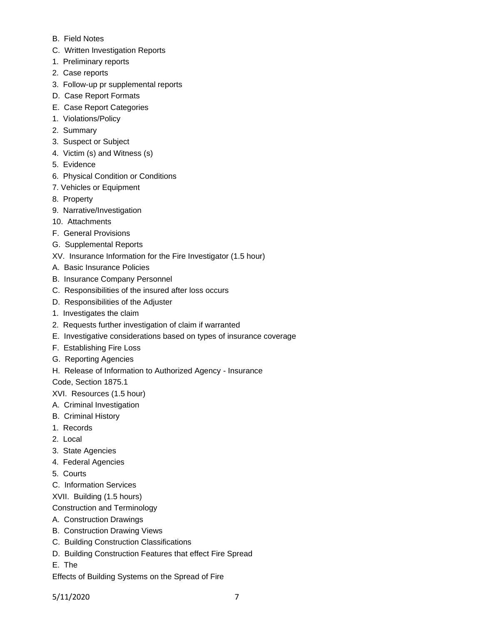- B. Field Notes
- C. Written Investigation Reports
- 1. Preliminary reports
- 2. Case reports
- 3. Follow-up pr supplemental reports
- D. Case Report Formats
- E. Case Report Categories
- 1. Violations/Policy
- 2. Summary
- 3. Suspect or Subject
- 4. Victim (s) and Witness (s)
- 5. Evidence
- 6. Physical Condition or Conditions
- 7. Vehicles or Equipment
- 8. Property
- 9. Narrative/Investigation
- 10. Attachments
- F. General Provisions
- G. Supplemental Reports
- XV. Insurance Information for the Fire Investigator (1.5 hour)
- A. Basic Insurance Policies
- B. Insurance Company Personnel
- C. Responsibilities of the insured after loss occurs
- D. Responsibilities of the Adjuster
- 1. Investigates the claim
- 2. Requests further investigation of claim if warranted
- E. Investigative considerations based on types of insurance coverage
- F. Establishing Fire Loss
- G. Reporting Agencies
- H. Release of Information to Authorized Agency Insurance

Code, Section 1875.1

XVI. Resources (1.5 hour)

- A. Criminal Investigation
- B. Criminal History
- 1. Records
- 2. Local
- 3. State Agencies
- 4. Federal Agencies
- 5. Courts
- C. Information Services
- XVII. Building (1.5 hours)
- Construction and Terminology
- A. Construction Drawings
- B. Construction Drawing Views
- C. Building Construction Classifications
- D. Building Construction Features that effect Fire Spread
- E. The
- Effects of Building Systems on the Spread of Fire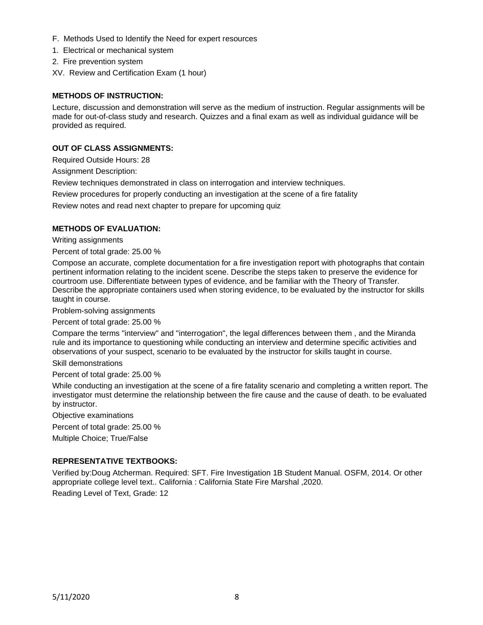- F. Methods Used to Identify the Need for expert resources
- 1. Electrical or mechanical system
- 2. Fire prevention system
- XV. Review and Certification Exam (1 hour)

### **METHODS OF INSTRUCTION:**

Lecture, discussion and demonstration will serve as the medium of instruction. Regular assignments will be made for out-of-class study and research. Quizzes and a final exam as well as individual guidance will be provided as required.

### **OUT OF CLASS ASSIGNMENTS:**

Required Outside Hours: 28

Assignment Description:

Review techniques demonstrated in class on interrogation and interview techniques.

Review procedures for properly conducting an investigation at the scene of a fire fatality

Review notes and read next chapter to prepare for upcoming quiz

#### **METHODS OF EVALUATION:**

Writing assignments

Percent of total grade: 25.00 %

Compose an accurate, complete documentation for a fire investigation report with photographs that contain pertinent information relating to the incident scene. Describe the steps taken to preserve the evidence for courtroom use. Differentiate between types of evidence, and be familiar with the Theory of Transfer. Describe the appropriate containers used when storing evidence, to be evaluated by the instructor for skills taught in course.

Problem-solving assignments

Percent of total grade: 25.00 %

Compare the terms "interview" and "interrogation", the legal differences between them , and the Miranda rule and its importance to questioning while conducting an interview and determine specific activities and observations of your suspect, scenario to be evaluated by the instructor for skills taught in course.

Skill demonstrations

Percent of total grade: 25.00 %

While conducting an investigation at the scene of a fire fatality scenario and completing a written report. The investigator must determine the relationship between the fire cause and the cause of death. to be evaluated by instructor.

Objective examinations

Percent of total grade: 25.00 %

Multiple Choice; True/False

#### **REPRESENTATIVE TEXTBOOKS:**

Verified by:Doug Atcherman. Required: SFT. Fire Investigation 1B Student Manual. OSFM, 2014. Or other appropriate college level text.. California : California State Fire Marshal ,2020.

Reading Level of Text, Grade: 12